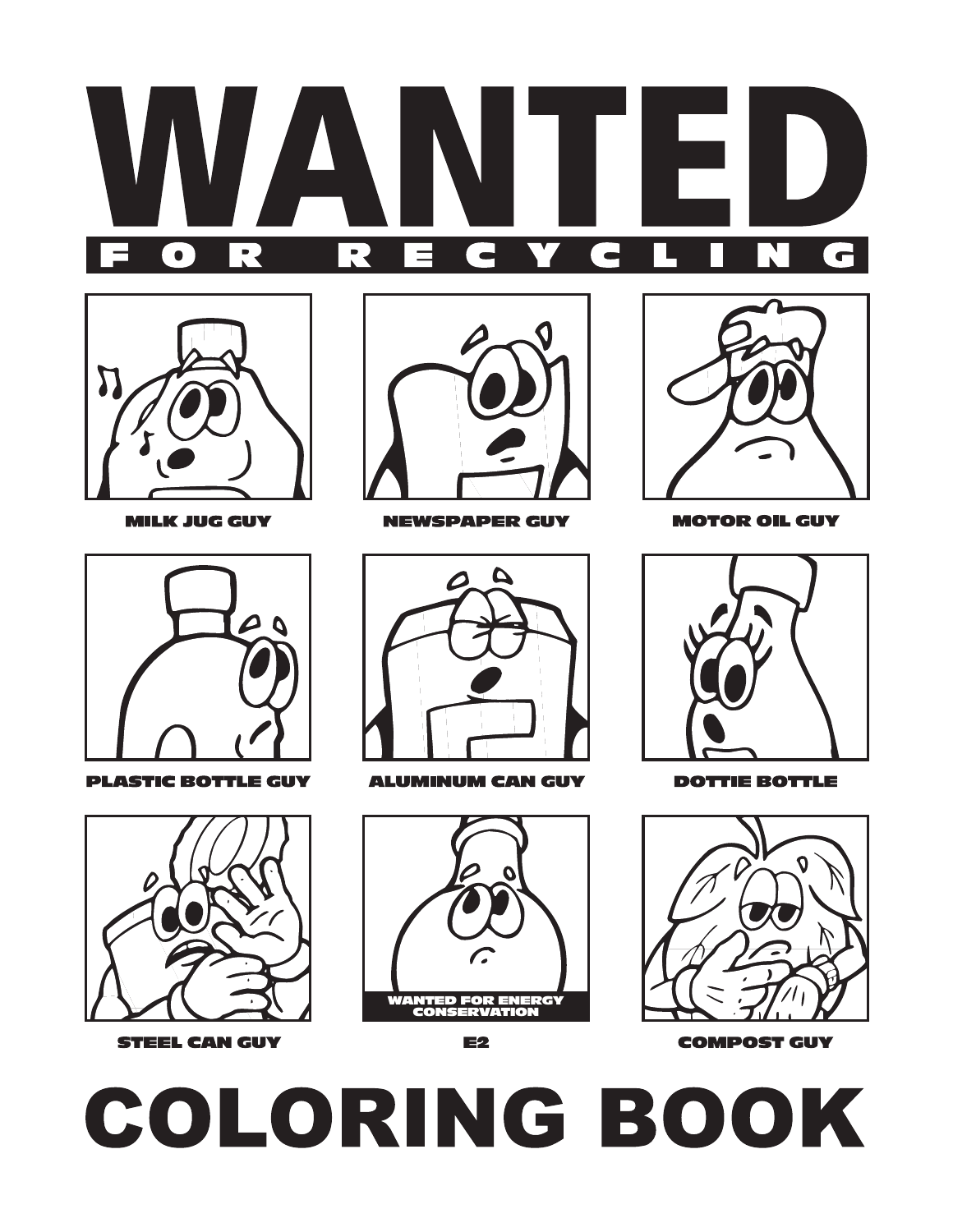### COLORING BOOK

E2



**STEEL CAN GUY** 

**PLASTIC BOTTLE GUY** 



**MILK JUG GUY** 



 $\left( \begin{array}{c} \textbf{O} \end{array} \right)$ 

R



**ALUMINUM CAN GUY** 



**NEWSPAPER GUY** 





 $\blacksquare$ 





F

**C** 

**MOTOR OIL GUY** 











 $\sqrt{2}$ 

R

**DOTTIE BOTTLE** 

**COMPOST GUY**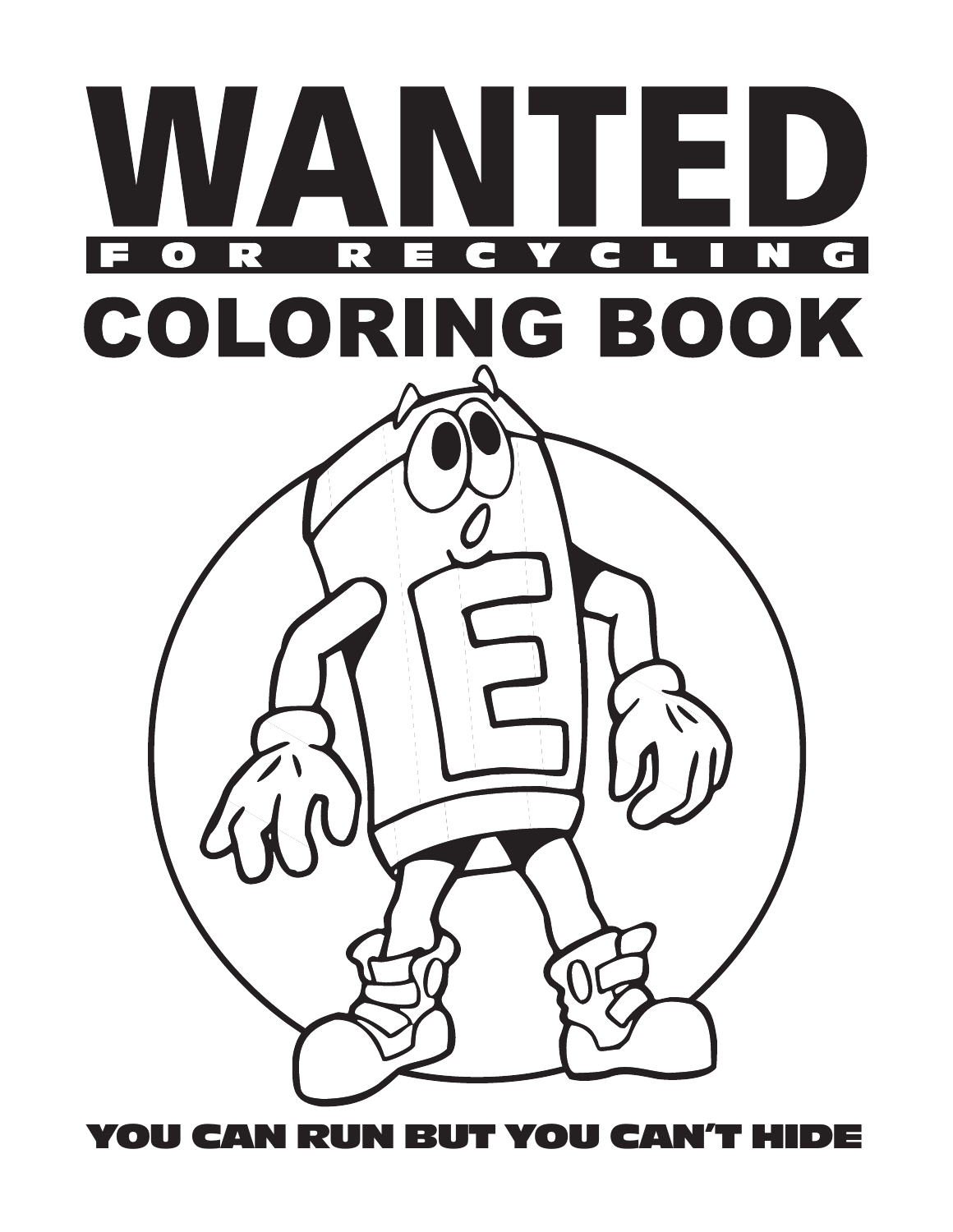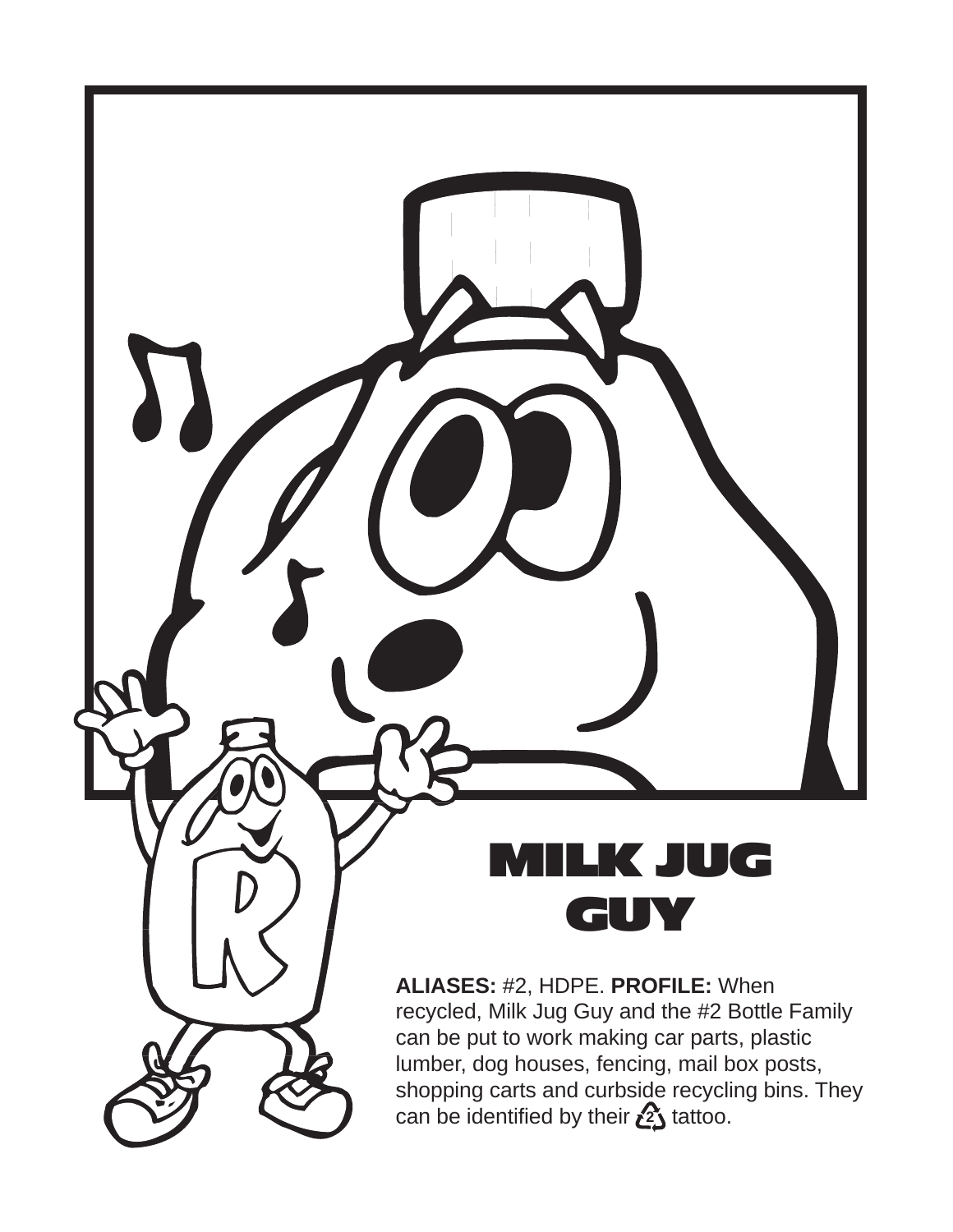#### MILK JUG GUY

**ALIASES:** #2, HDPE. **PROFILE:** When recycled, Milk Jug Guy and the #2 Bottle Family can be put to work making car parts, plastic lumber, dog houses, fencing, mail box posts, shopping carts and curbside recycling bins. They can be identified by their  $\overline{2}$  tattoo.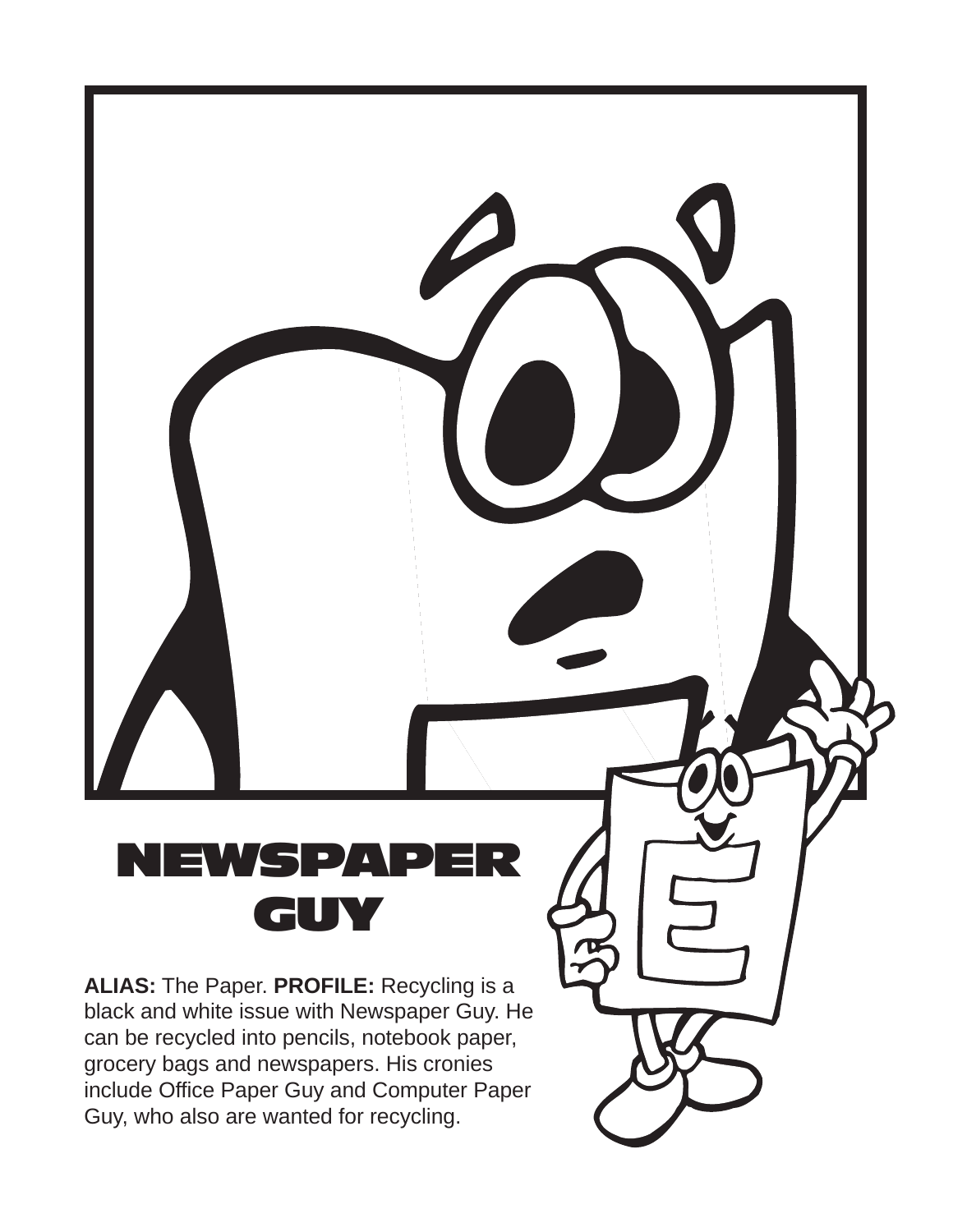#### NEWS GU

**ALIAS:** The Paper. **PROFILE:** Recycling is a black and white issue with Newspaper Guy. He can be recycled into pencils, notebook paper, grocery bags and newspapers. His cronies include Office Paper Guy and Computer Paper Guy, who also are wanted for recycling.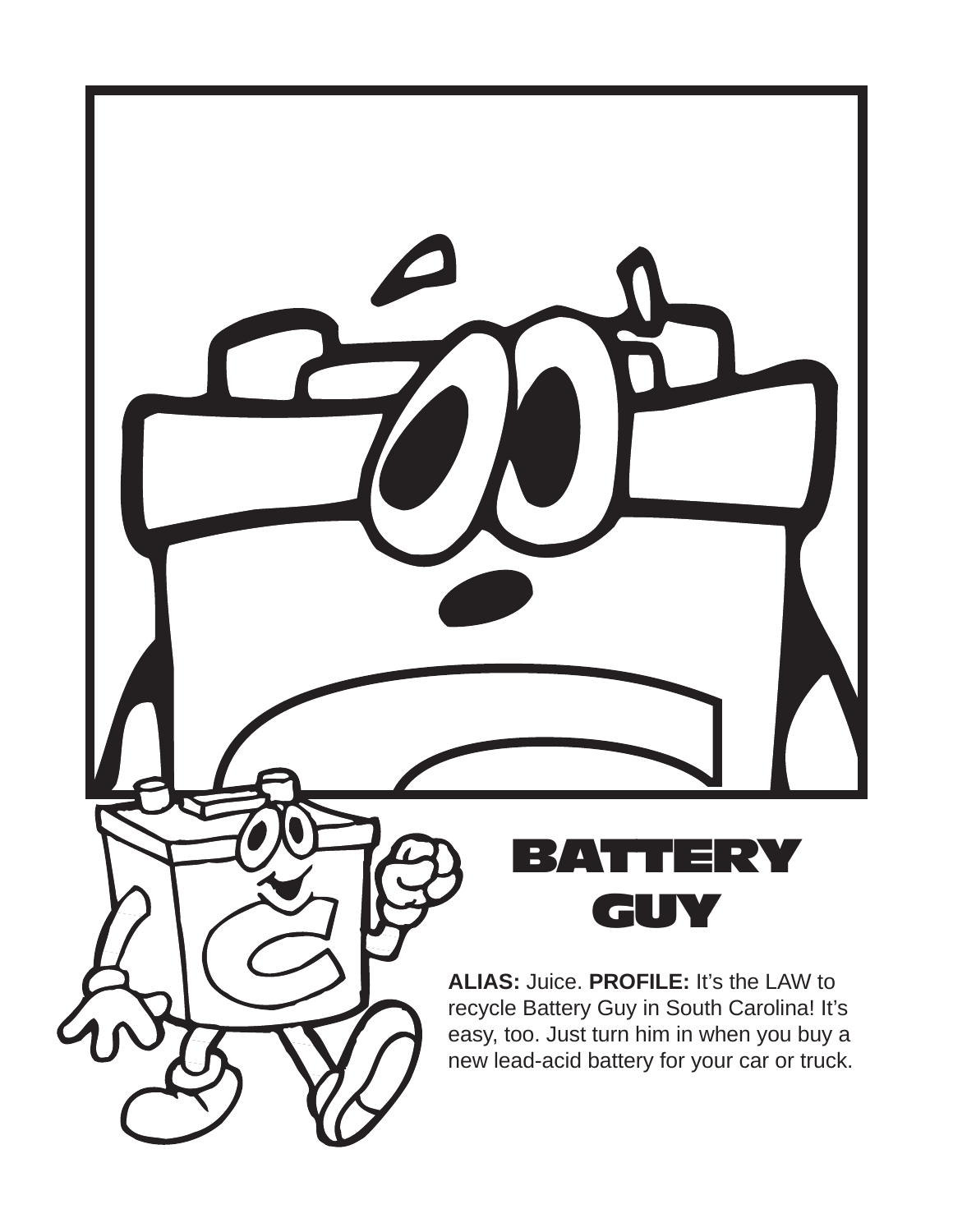**ALIAS:** Juice. **PROFILE:** It's the LAW to recycle Battery Guy in South Carolina! It's easy, too. Just turn him in when you buy a new lead-acid battery for your car or truck.

BATTERY

U W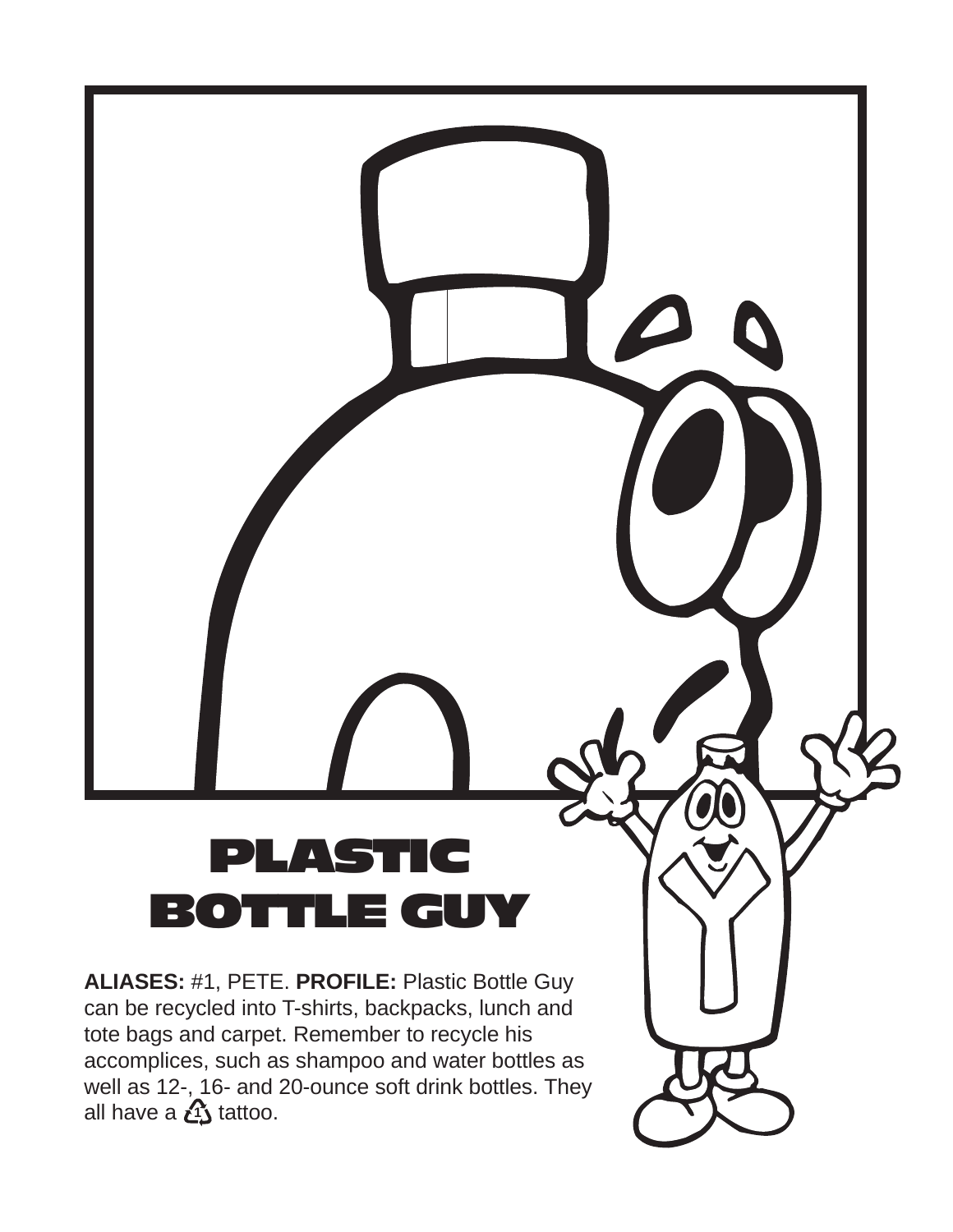### PLAST BOTTLE GUY

**ALIASES:** #1, PETE. **PROFILE:** Plastic Bottle Guy can be recycled into T-shirts, backpacks, lunch and tote bags and carpet. Remember to recycle his accomplices, such as shampoo and water bottles as well as 12-, 16- and 20-ounce soft drink bottles. They all have a  $\mathcal{L}_\lambda$  tattoo.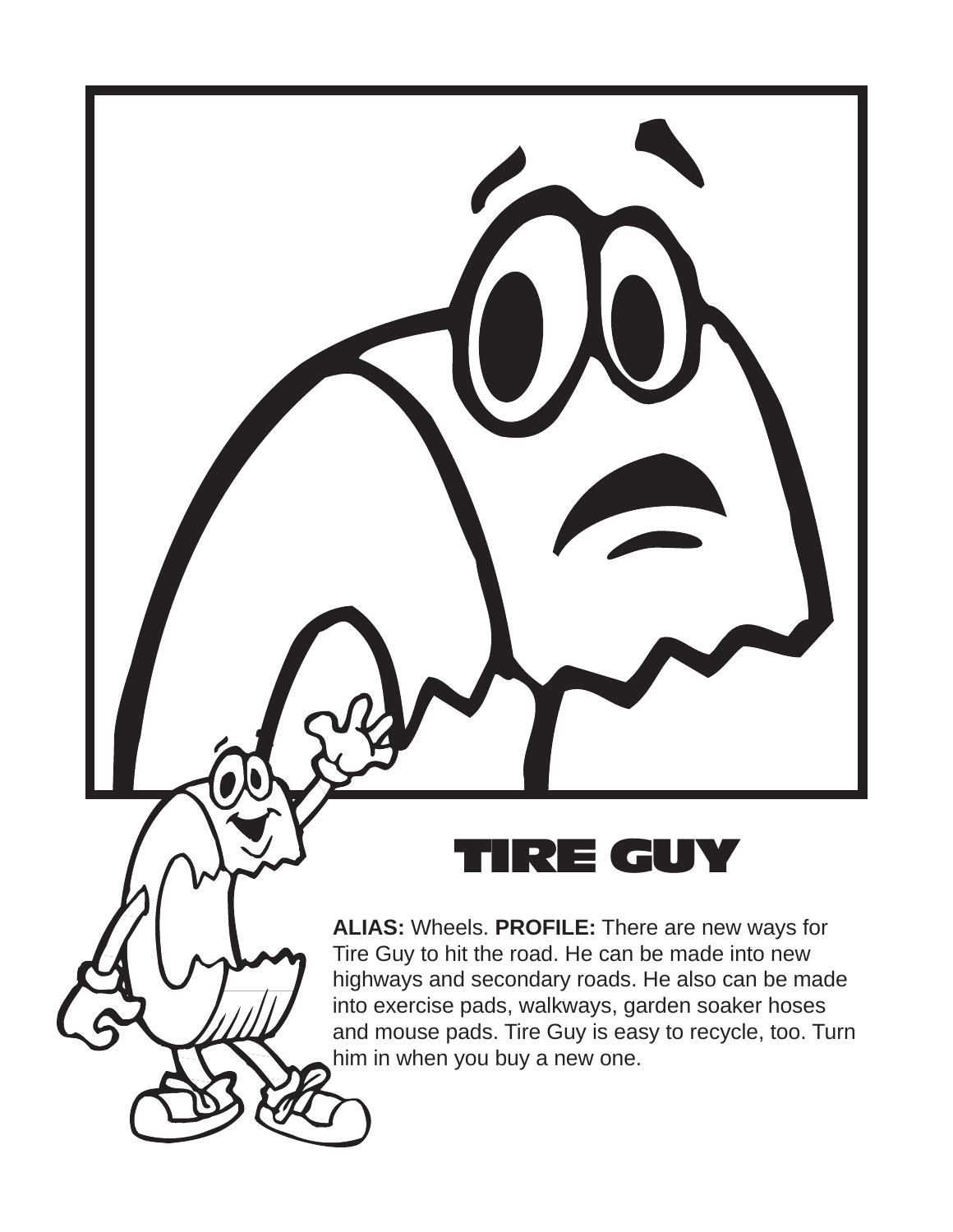#### TIRE GUY

**ALIAS:** Wheels. **PROFILE:** There are new ways for Tire Guy to hit the road. He can be made into new highways and secondary roads. He also can be made into exercise pads, walkways, garden soaker hoses and mouse pads. Tire Guy is easy to recycle, too. Turn him in when you buy a new one.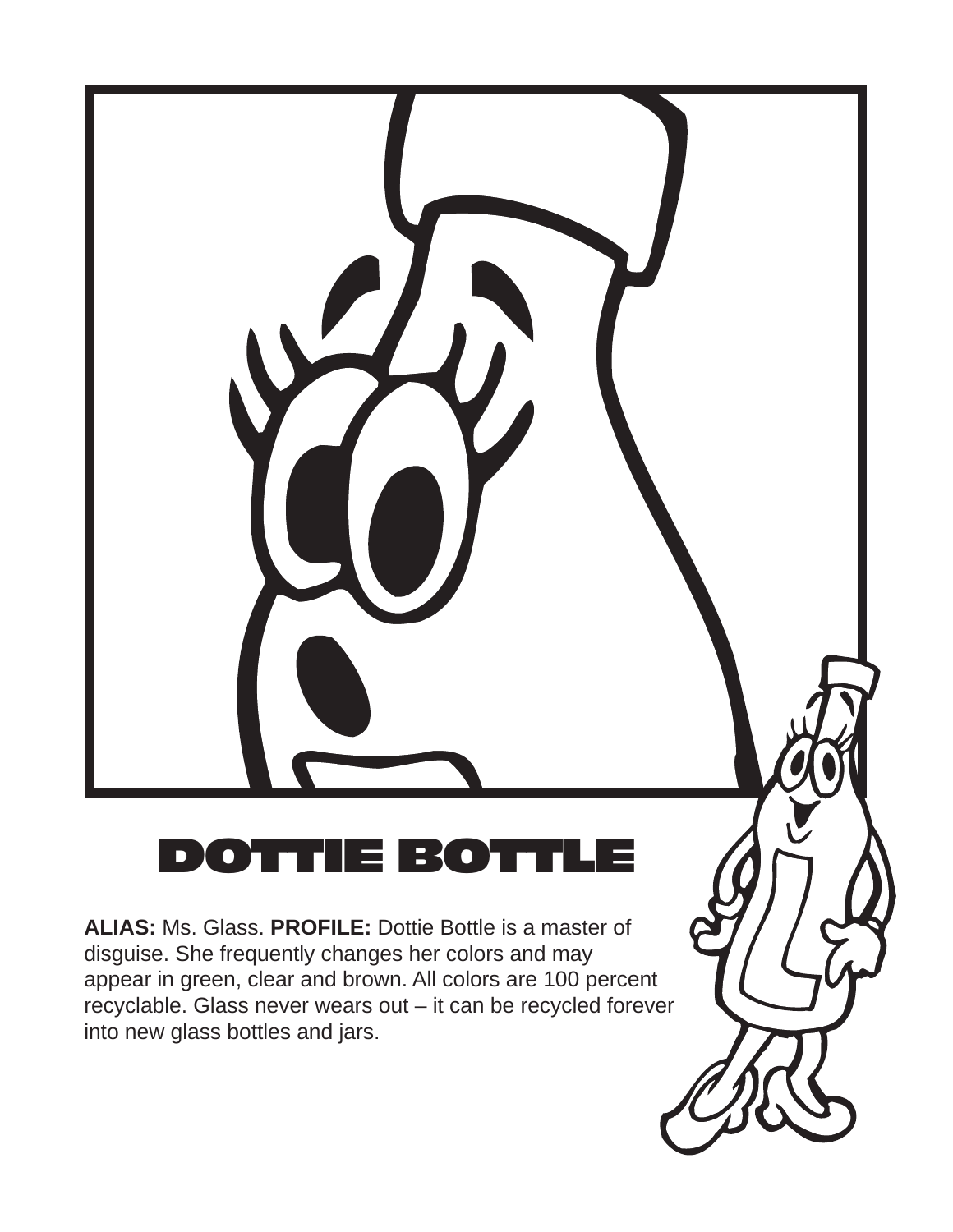

**ALIAS:** Ms. Glass. **PROFILE:** Dottie Bottle is a master of disguise. She frequently changes her colors and may appear in green, clear and brown. All colors are 100 percent recyclable. Glass never wears out – it can be recycled forever into new glass bottles and jars.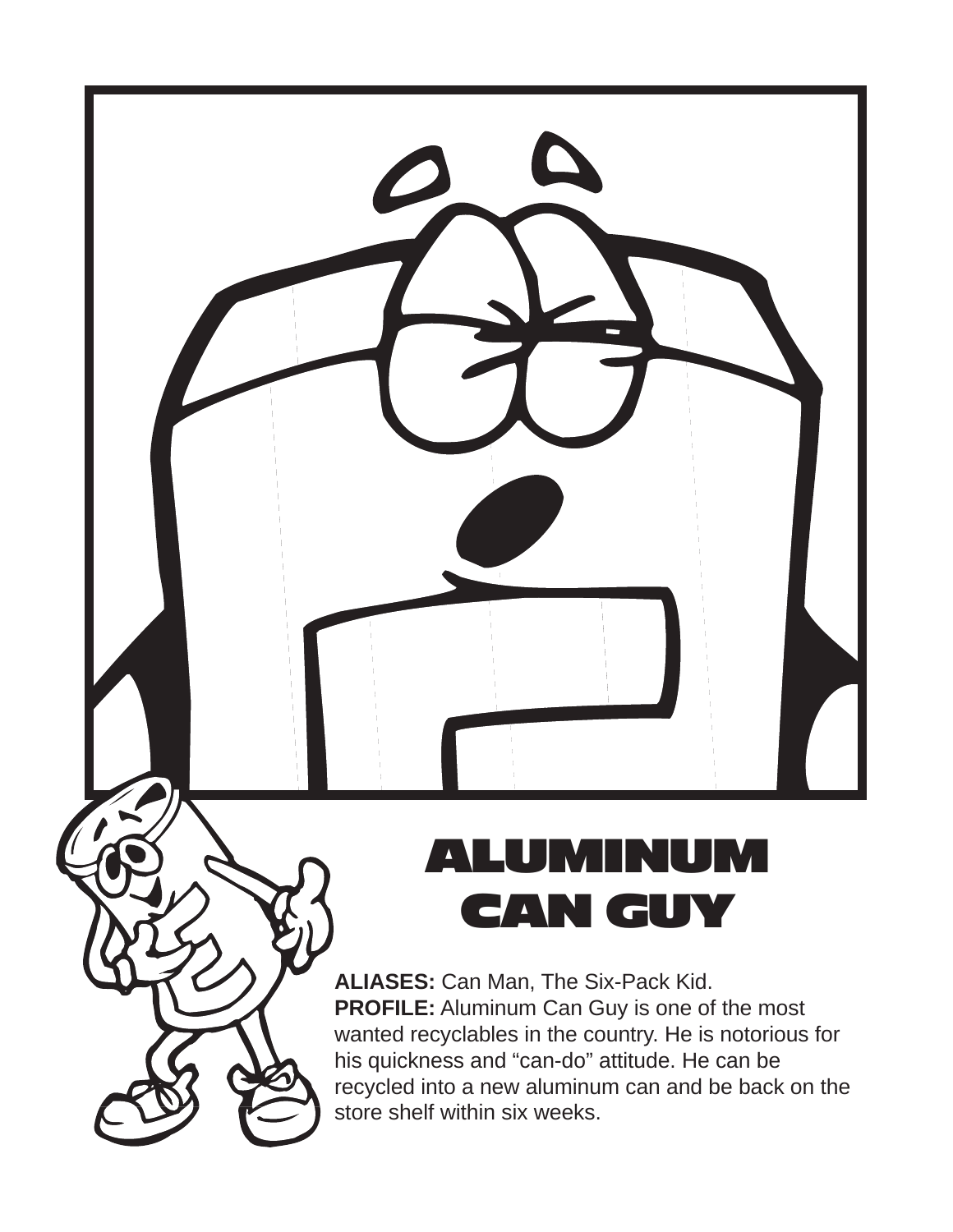

#### ALUMINUM CAN GUY

**ALIASES:** Can Man, The Six-Pack Kid. **PROFILE:** Aluminum Can Guy is one of the most wanted recyclables in the country. He is notorious for his quickness and "can-do" attitude. He can be recycled into a new aluminum can and be back on the store shelf within six weeks.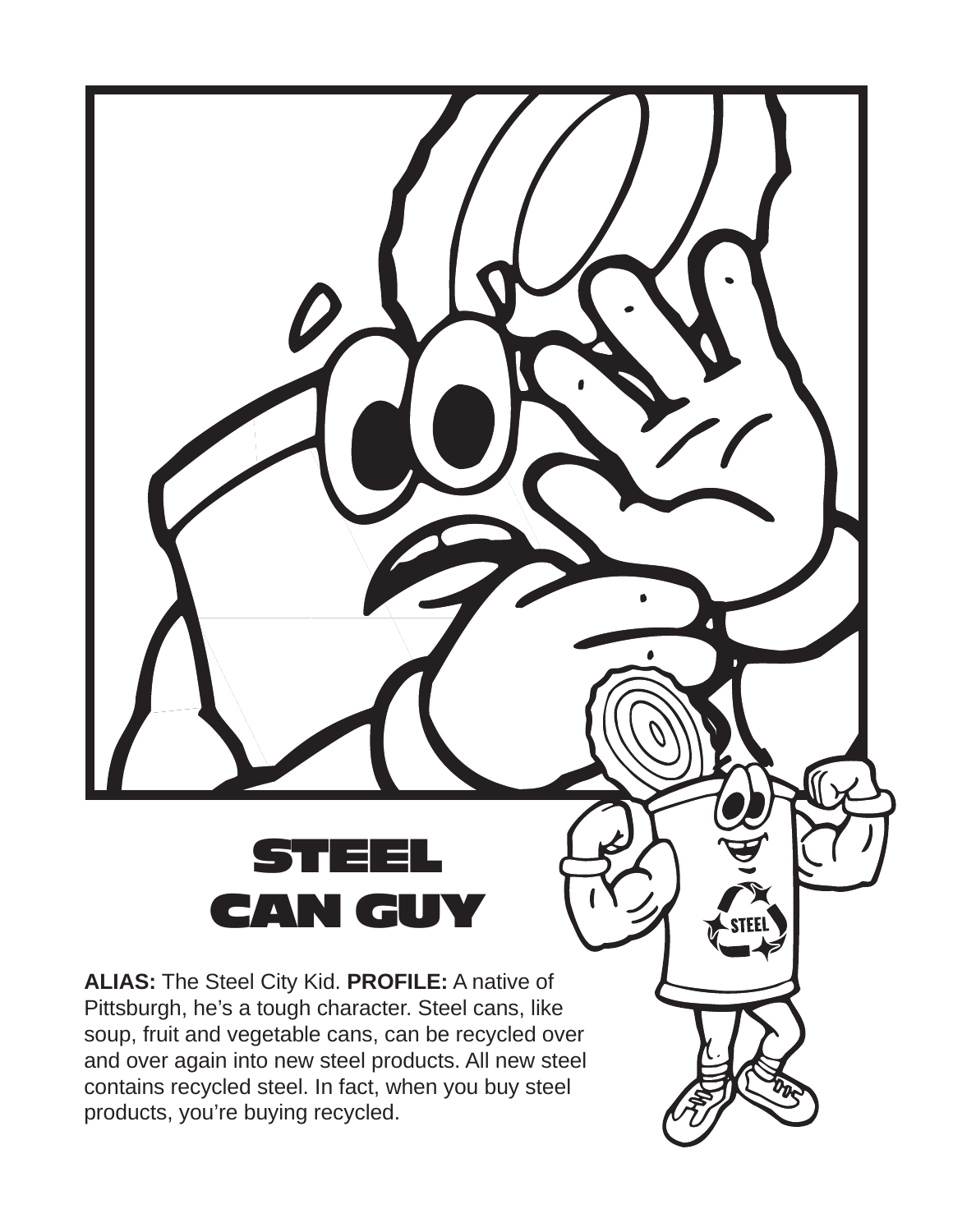

products, you're buying recycled.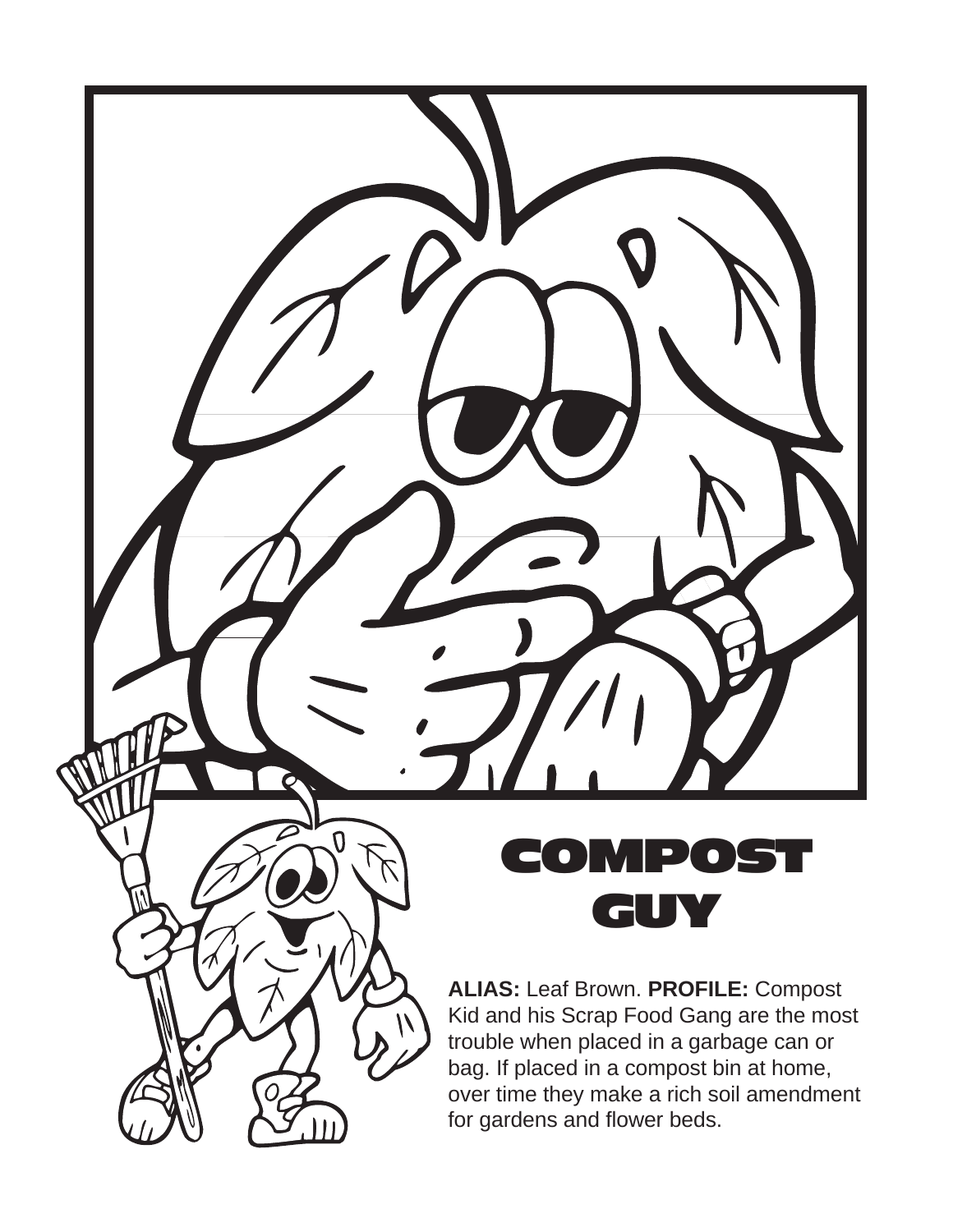# POST GUY

**ALIAS:** Leaf Brown. **PROFILE:** Compost Kid and his Scrap Food Gang are the most trouble when placed in a garbage can or bag. If placed in a compost bin at home, over time they make a rich soil amendment for gardens and flower beds.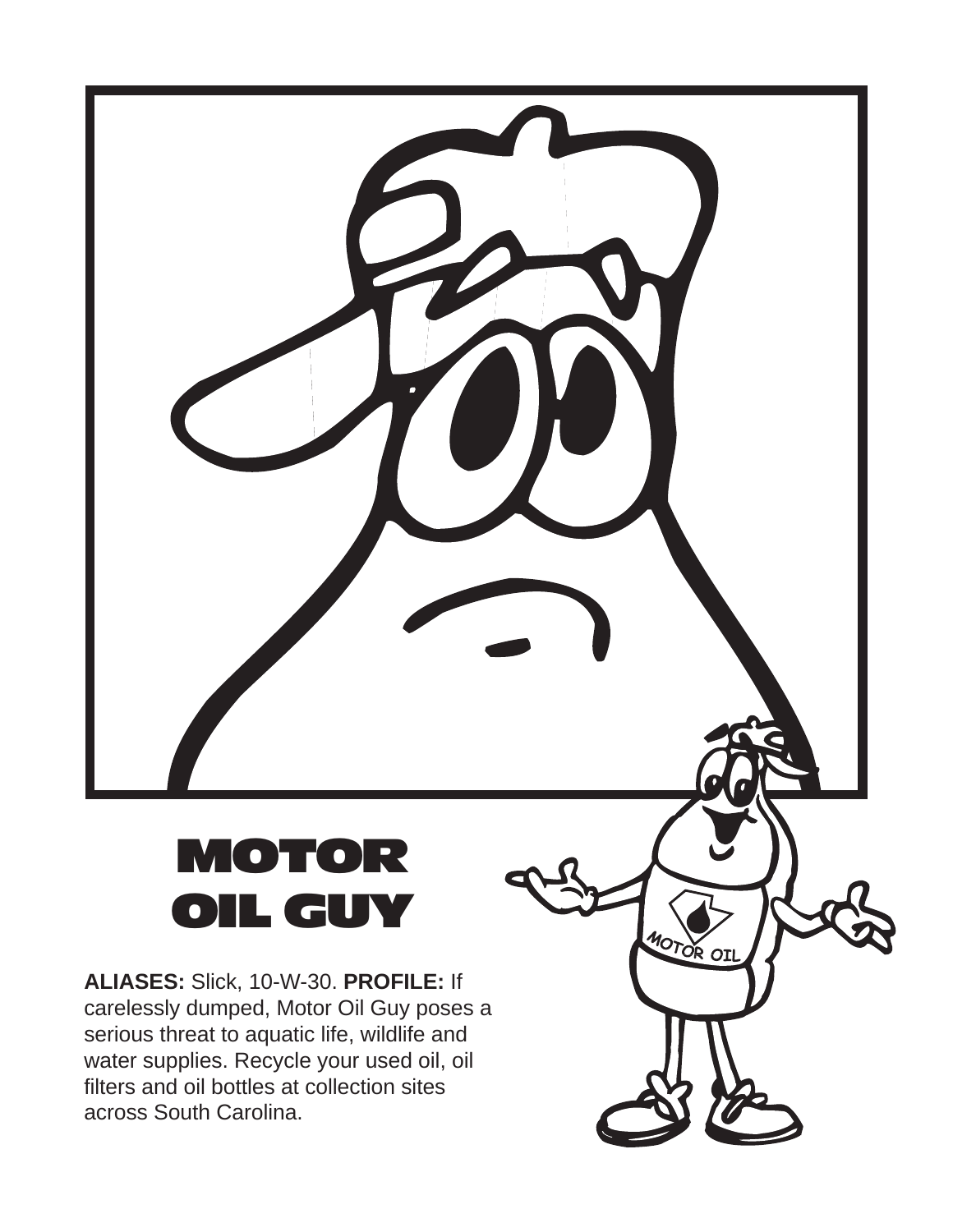# MOTOR OIL GUY

**ALIASES:** Slick, 10-W-30. **PROFILE:** If carelessly dumped, Motor Oil Guy poses a serious threat to aquatic life, wildlife and water supplies. Recycle your used oil, oil filters and oil bottles at collection sites across South Carolina.

 $\overline{\textsf{OR}}$   $\overline{\textsf{OII}}$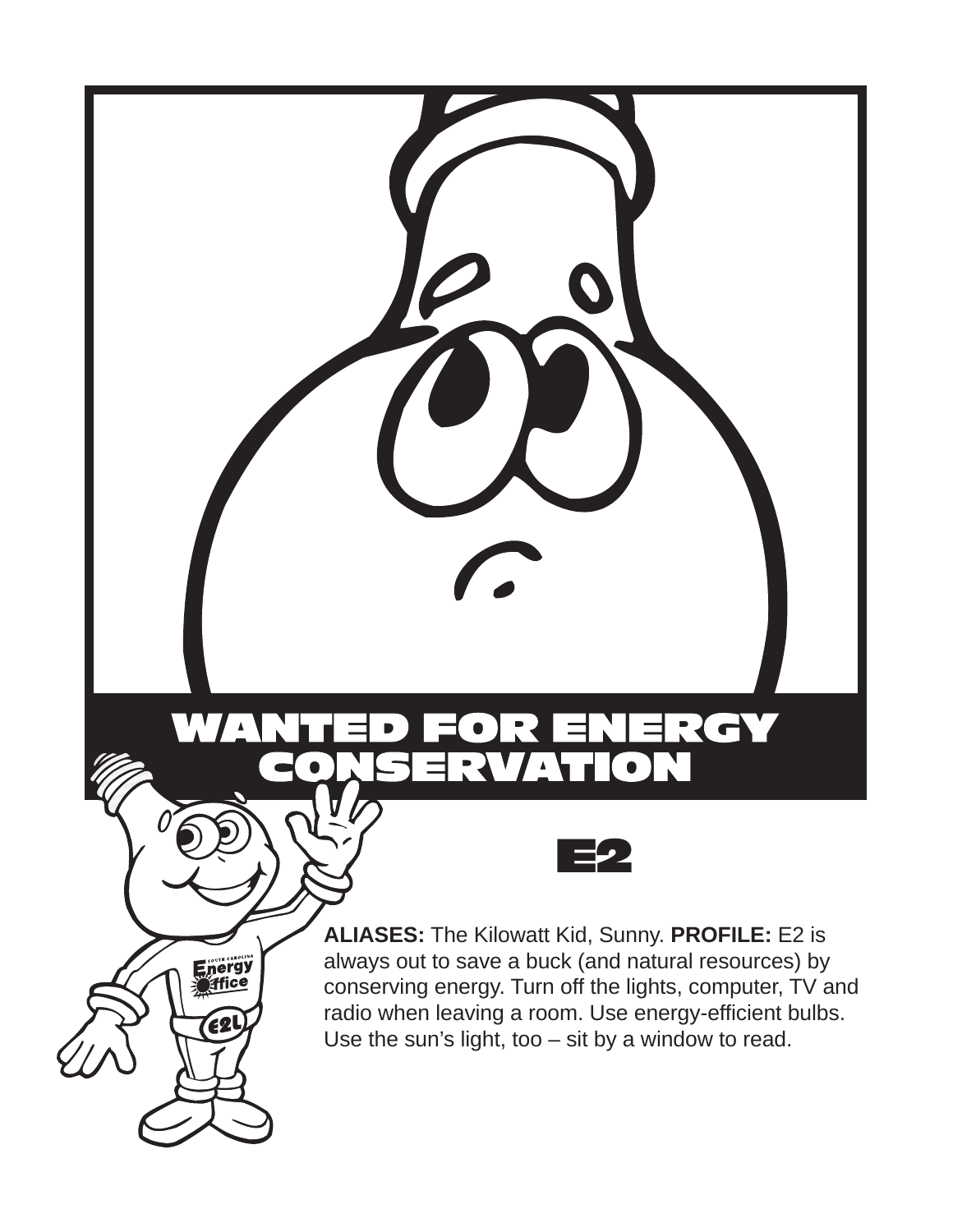

**E2** 

conserving energy. Turn off the lights, computer, TV and radio when leaving a room. Use energy-efficient bulbs. Use the sun's light, too – sit by a window to read.